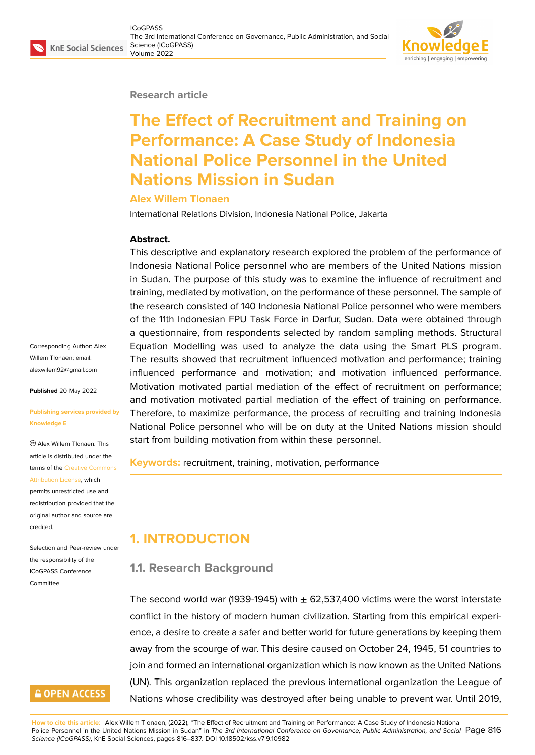#### **Research article**

# **The Effect of Recruitment and Training on Performance: A Case Study of Indonesia National Police Personnel in the United Nations Mission in Sudan**

#### **Alex Willem Tlonaen**

International Relations Division, Indonesia National Police, Jakarta

#### **Abstract.**

This descriptive and explanatory research explored the problem of the performance of Indonesia National Police personnel who are members of the United Nations mission in Sudan. The purpose of this study was to examine the influence of recruitment and training, mediated by motivation, on the performance of these personnel. The sample of the research consisted of 140 Indonesia National Police personnel who were members of the 11th Indonesian FPU Task Force in Darfur, Sudan. Data were obtained through a questionnaire, from respondents selected by random sampling methods. Structural Equation Modelling was used to analyze the data using the Smart PLS program. The results showed that recruitment influenced motivation and performance; training influenced performance and motivation; and motivation influenced performance. Motivation motivated partial mediation of the effect of recruitment on performance; and motivation motivated partial mediation of the effect of training on performance. Therefore, to maximize performance, the process of recruiting and training Indonesia National Police personnel who will be on duty at the United Nations mission should start from building motivation from within these personnel.

**Keywords:** recruitment, training, motivation, performance

# **1. INTRODUCTION**

## **1.1. Research Background**

The second world war (1939-1945) with  $\pm$  62,537,400 victims were the worst interstate conflict in the history of modern human civilization. Starting from this empirical experience, a desire to create a safer and better world for future generations by keeping them away from the scourge of war. This desire caused on October 24, 1945, 51 countries to join and formed an international organization which is now known as the United Nations (UN). This organization replaced the previous international organization the League of Nations whose credibility was destroyed after being unable to prevent war. Until 2019,

**How to cite this article**: Alex Willem Tlonaen, (2022), "The Effect of Recruitment and Training on Performance: A Case Study of Indonesia National Police Personnel in the United Nations Mission in Sudan" in *The 3rd International Conference on Governance, Public Administration, and Social Page 816 Science (ICoGPASS)*, KnE Social Sciences, pages 816–837. DOI 10.18502/kss.v7i9.10982

Corresponding Author: Alex Willem Tlonaen; email: alexwilem92@gmail.com

**Published** 20 May 2022

#### **[Publishing services prov](mailto:alexwilem92@gmail.com)ided by Knowledge E**

Alex Willem Tlonaen. This article is distributed under the terms of the Creative Commons Attribution License, which

permits unrestricted use and redistribution provided that the original auth[or and source are](https://creativecommons.org/licenses/by/4.0/) [credited.](https://creativecommons.org/licenses/by/4.0/)

Selection and Peer-review under the responsibility of the ICoGPASS Conference Committee.

# **GOPEN ACCESS**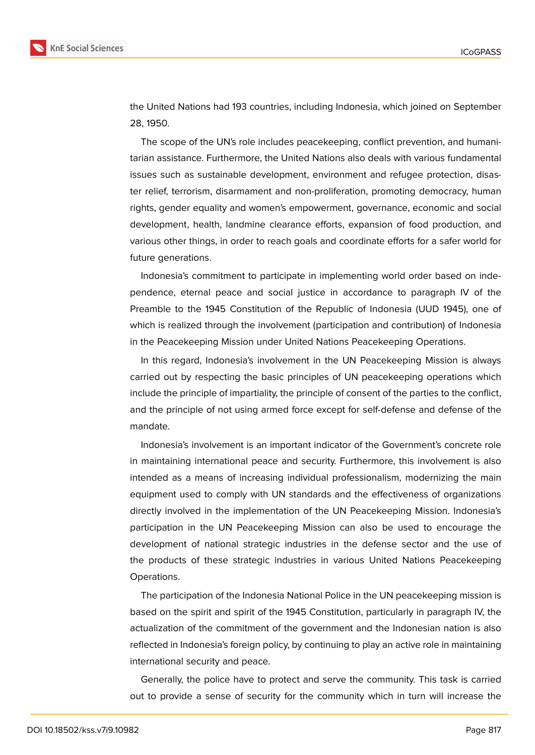

the United Nations had 193 countries, including Indonesia, which joined on September 28, 1950.

The scope of the UN's role includes peacekeeping, conflict prevention, and humanitarian assistance. Furthermore, the United Nations also deals with various fundamental issues such as sustainable development, environment and refugee protection, disaster relief, terrorism, disarmament and non-proliferation, promoting democracy, human rights, gender equality and women's empowerment, governance, economic and social development, health, landmine clearance efforts, expansion of food production, and various other things, in order to reach goals and coordinate efforts for a safer world for future generations.

Indonesia's commitment to participate in implementing world order based on independence, eternal peace and social justice in accordance to paragraph IV of the Preamble to the 1945 Constitution of the Republic of Indonesia (UUD 1945), one of which is realized through the involvement (participation and contribution) of Indonesia in the Peacekeeping Mission under United Nations Peacekeeping Operations.

In this regard, Indonesia's involvement in the UN Peacekeeping Mission is always carried out by respecting the basic principles of UN peacekeeping operations which include the principle of impartiality, the principle of consent of the parties to the conflict, and the principle of not using armed force except for self-defense and defense of the mandate.

Indonesia's involvement is an important indicator of the Government's concrete role in maintaining international peace and security. Furthermore, this involvement is also intended as a means of increasing individual professionalism, modernizing the main equipment used to comply with UN standards and the effectiveness of organizations directly involved in the implementation of the UN Peacekeeping Mission. Indonesia's participation in the UN Peacekeeping Mission can also be used to encourage the development of national strategic industries in the defense sector and the use of the products of these strategic industries in various United Nations Peacekeeping Operations.

The participation of the Indonesia National Police in the UN peacekeeping mission is based on the spirit and spirit of the 1945 Constitution, particularly in paragraph IV, the actualization of the commitment of the government and the Indonesian nation is also reflected in Indonesia's foreign policy, by continuing to play an active role in maintaining international security and peace.

Generally, the police have to protect and serve the community. This task is carried out to provide a sense of security for the community which in turn will increase the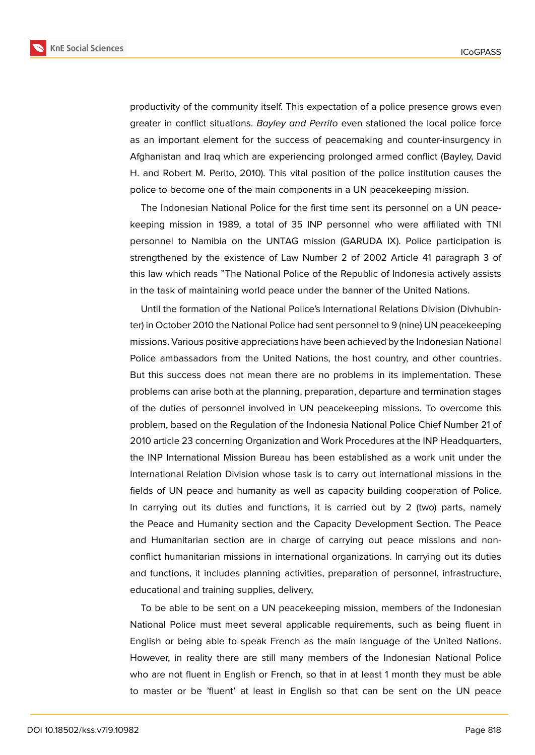**KnE Social Sciences** 



productivity of the community itself. This expectation of a police presence grows even greater in conflict situations. *Bayley and Perrito* even stationed the local police force as an important element for the success of peacemaking and counter-insurgency in Afghanistan and Iraq which are experiencing prolonged armed conflict (Bayley, David H. and Robert M. Perito, 2010). This vital position of the police institution causes the police to become one of the main components in a UN peacekeeping mission.

The Indonesian National Police for the first time sent its personnel on a UN peacekeeping mission in 1989, a total of 35 INP personnel who were affiliated with TNI personnel to Namibia on the UNTAG mission (GARUDA IX). Police participation is strengthened by the existence of Law Number 2 of 2002 Article 41 paragraph 3 of this law which reads "The National Police of the Republic of Indonesia actively assists in the task of maintaining world peace under the banner of the United Nations.

Until the formation of the National Police's International Relations Division (Divhubinter) in October 2010 the National Police had sent personnel to 9 (nine) UN peacekeeping missions. Various positive appreciations have been achieved by the Indonesian National Police ambassadors from the United Nations, the host country, and other countries. But this success does not mean there are no problems in its implementation. These problems can arise both at the planning, preparation, departure and termination stages of the duties of personnel involved in UN peacekeeping missions. To overcome this problem, based on the Regulation of the Indonesia National Police Chief Number 21 of 2010 article 23 concerning Organization and Work Procedures at the INP Headquarters, the INP International Mission Bureau has been established as a work unit under the International Relation Division whose task is to carry out international missions in the fields of UN peace and humanity as well as capacity building cooperation of Police. In carrying out its duties and functions, it is carried out by 2 (two) parts, namely the Peace and Humanity section and the Capacity Development Section. The Peace and Humanitarian section are in charge of carrying out peace missions and nonconflict humanitarian missions in international organizations. In carrying out its duties and functions, it includes planning activities, preparation of personnel, infrastructure, educational and training supplies, delivery,

To be able to be sent on a UN peacekeeping mission, members of the Indonesian National Police must meet several applicable requirements, such as being fluent in English or being able to speak French as the main language of the United Nations. However, in reality there are still many members of the Indonesian National Police who are not fluent in English or French, so that in at least 1 month they must be able to master or be 'fluent' at least in English so that can be sent on the UN peace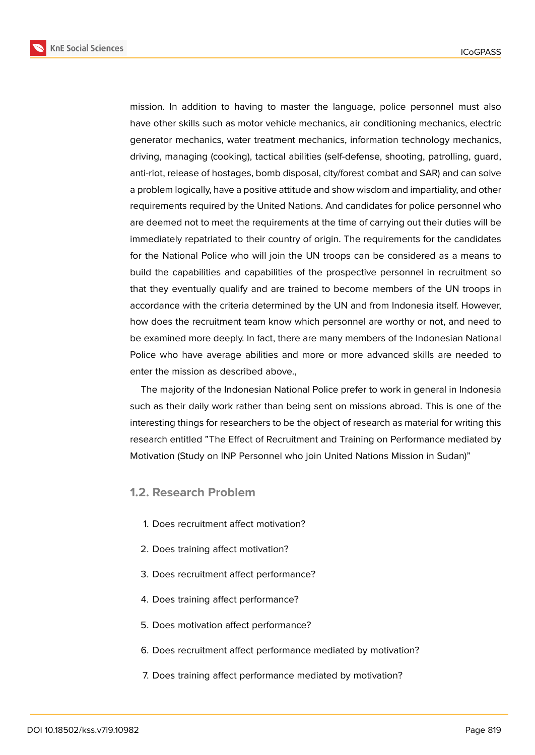**KnE Social Sciences** 



mission. In addition to having to master the language, police personnel must also have other skills such as motor vehicle mechanics, air conditioning mechanics, electric generator mechanics, water treatment mechanics, information technology mechanics, driving, managing (cooking), tactical abilities (self-defense, shooting, patrolling, guard, anti-riot, release of hostages, bomb disposal, city/forest combat and SAR) and can solve a problem logically, have a positive attitude and show wisdom and impartiality, and other requirements required by the United Nations. And candidates for police personnel who are deemed not to meet the requirements at the time of carrying out their duties will be immediately repatriated to their country of origin. The requirements for the candidates for the National Police who will join the UN troops can be considered as a means to build the capabilities and capabilities of the prospective personnel in recruitment so that they eventually qualify and are trained to become members of the UN troops in accordance with the criteria determined by the UN and from Indonesia itself. However, how does the recruitment team know which personnel are worthy or not, and need to be examined more deeply. In fact, there are many members of the Indonesian National Police who have average abilities and more or more advanced skills are needed to enter the mission as described above.,

The majority of the Indonesian National Police prefer to work in general in Indonesia such as their daily work rather than being sent on missions abroad. This is one of the interesting things for researchers to be the object of research as material for writing this research entitled "The Effect of Recruitment and Training on Performance mediated by Motivation (Study on INP Personnel who join United Nations Mission in Sudan)"

### **1.2. Research Problem**

- 1. Does recruitment affect motivation?
- 2. Does training affect motivation?
- 3. Does recruitment affect performance?
- 4. Does training affect performance?
- 5. Does motivation affect performance?
- 6. Does recruitment affect performance mediated by motivation?
- 7. Does training affect performance mediated by motivation?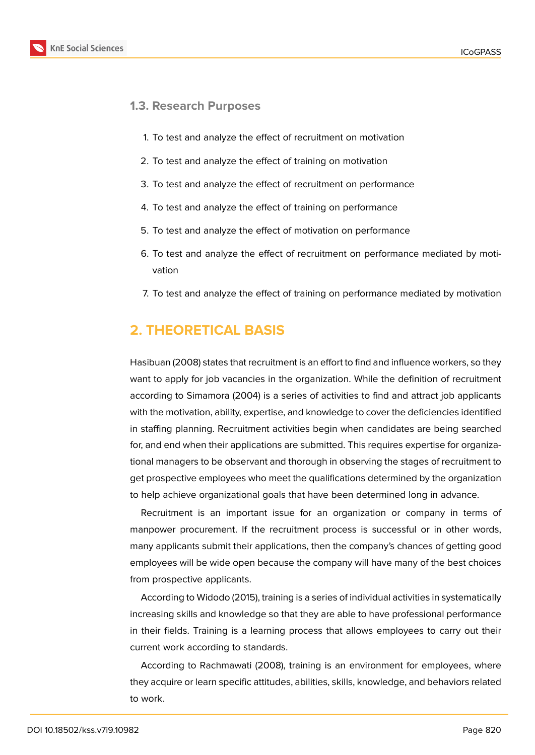

### **1.3. Research Purposes**

- 1. To test and analyze the effect of recruitment on motivation
- 2. To test and analyze the effect of training on motivation
- 3. To test and analyze the effect of recruitment on performance
- 4. To test and analyze the effect of training on performance
- 5. To test and analyze the effect of motivation on performance
- 6. To test and analyze the effect of recruitment on performance mediated by motivation
- 7. To test and analyze the effect of training on performance mediated by motivation

# **2. THEORETICAL BASIS**

Hasibuan (2008) states that recruitment is an effort to find and influence workers, so they want to apply for job vacancies in the organization. While the definition of recruitment according to Simamora (2004) is a series of activities to find and attract job applicants with the motivation, ability, expertise, and knowledge to cover the deficiencies identified in staffing planning. Recruitment activities begin when candidates are being searched for, and end when their applications are submitted. This requires expertise for organizational managers to be observant and thorough in observing the stages of recruitment to get prospective employees who meet the qualifications determined by the organization to help achieve organizational goals that have been determined long in advance.

Recruitment is an important issue for an organization or company in terms of manpower procurement. If the recruitment process is successful or in other words, many applicants submit their applications, then the company's chances of getting good employees will be wide open because the company will have many of the best choices from prospective applicants.

According to Widodo (2015), training is a series of individual activities in systematically increasing skills and knowledge so that they are able to have professional performance in their fields. Training is a learning process that allows employees to carry out their current work according to standards.

According to Rachmawati (2008), training is an environment for employees, where they acquire or learn specific attitudes, abilities, skills, knowledge, and behaviors related to work.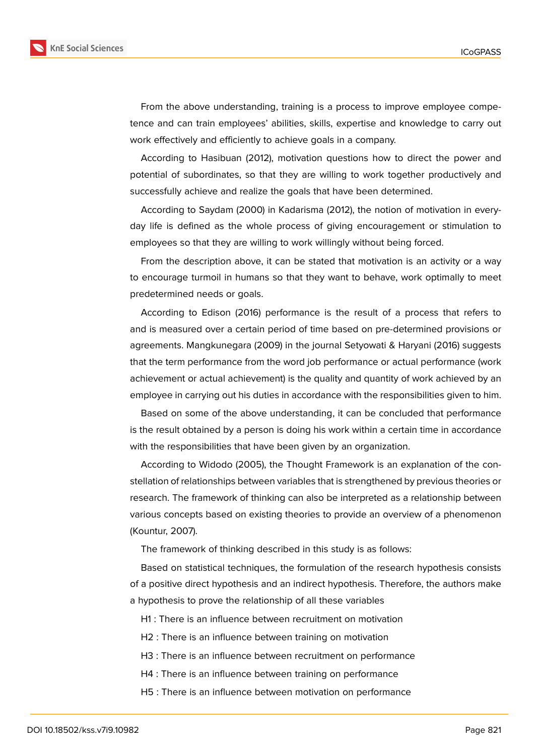

From the above understanding, training is a process to improve employee competence and can train employees' abilities, skills, expertise and knowledge to carry out work effectively and efficiently to achieve goals in a company.

According to Hasibuan (2012), motivation questions how to direct the power and potential of subordinates, so that they are willing to work together productively and successfully achieve and realize the goals that have been determined.

According to Saydam (2000) in Kadarisma (2012), the notion of motivation in everyday life is defined as the whole process of giving encouragement or stimulation to employees so that they are willing to work willingly without being forced.

From the description above, it can be stated that motivation is an activity or a way to encourage turmoil in humans so that they want to behave, work optimally to meet predetermined needs or goals.

According to Edison (2016) performance is the result of a process that refers to and is measured over a certain period of time based on pre-determined provisions or agreements. Mangkunegara (2009) in the journal Setyowati & Haryani (2016) suggests that the term performance from the word job performance or actual performance (work achievement or actual achievement) is the quality and quantity of work achieved by an employee in carrying out his duties in accordance with the responsibilities given to him.

Based on some of the above understanding, it can be concluded that performance is the result obtained by a person is doing his work within a certain time in accordance with the responsibilities that have been given by an organization.

According to Widodo (2005), the Thought Framework is an explanation of the constellation of relationships between variables that is strengthened by previous theories or research. The framework of thinking can also be interpreted as a relationship between various concepts based on existing theories to provide an overview of a phenomenon (Kountur, 2007).

The framework of thinking described in this study is as follows:

Based on statistical techniques, the formulation of the research hypothesis consists of a positive direct hypothesis and an indirect hypothesis. Therefore, the authors make a hypothesis to prove the relationship of all these variables

H1 : There is an influence between recruitment on motivation

H2 : There is an influence between training on motivation

H3 : There is an influence between recruitment on performance

H4 : There is an influence between training on performance

H5 : There is an influence between motivation on performance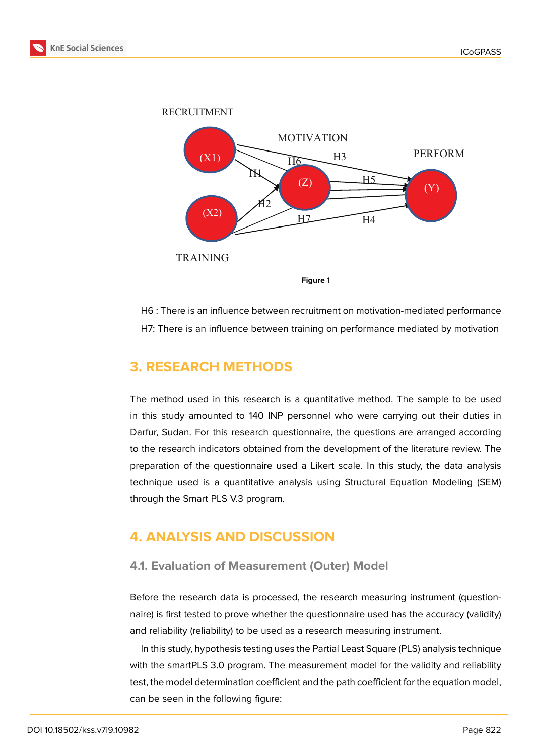



**Figure** 1

H6 : There is an influence between recruitment on motivation-mediated performance H7: There is an influence between training on performance mediated by motivation

# **3. RESEARCH METHODS**

The method used in this research is a quantitative method. The sample to be used in this study amounted to 140 INP personnel who were carrying out their duties in Darfur, Sudan. For this research questionnaire, the questions are arranged according to the research indicators obtained from the development of the literature review. The preparation of the questionnaire used a Likert scale. In this study, the data analysis technique used is a quantitative analysis using Structural Equation Modeling (SEM) through the Smart PLS V.3 program.

# **4. ANALYSIS AND DISCUSSION**

### **4.1. Evaluation of Measurement (Outer) Model**

Before the research data is processed, the research measuring instrument (questionnaire) is first tested to prove whether the questionnaire used has the accuracy (validity) and reliability (reliability) to be used as a research measuring instrument.

In this study, hypothesis testing uses the Partial Least Square (PLS) analysis technique with the smartPLS 3.0 program. The measurement model for the validity and reliability test, the model determination coefficient and the path coefficient for the equation model, can be seen in the following figure: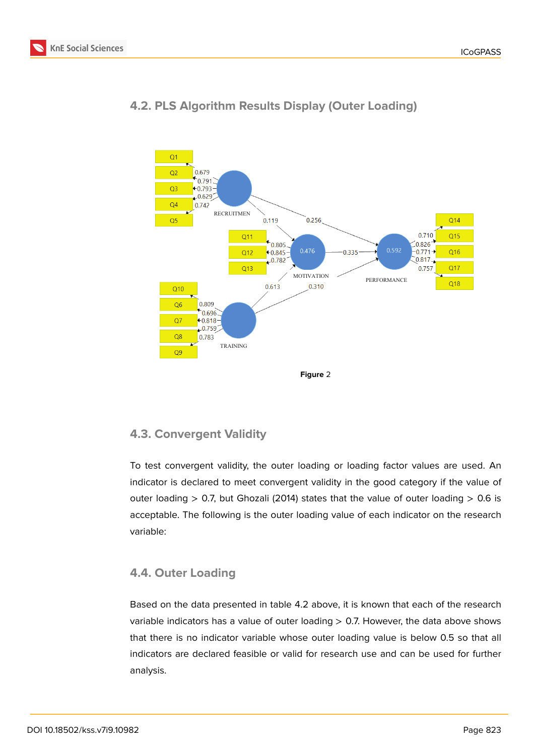



# **4.2. PLS Algorithm Results Display (Outer Loading)**

## **4.3. Convergent Validity**

To test convergent validity, the outer loading or loading factor values are used. An indicator is declared to meet convergent validity in the good category if the value of outer loading  $> 0.7$ , but Ghozali (2014) states that the value of outer loading  $> 0.6$  is acceptable. The following is the outer loading value of each indicator on the research variable:

# **4.4. Outer Loading**

Based on the data presented in table 4.2 above, it is known that each of the research variable indicators has a value of outer loading > 0.7. However, the data above shows that there is no indicator variable whose outer loading value is below 0.5 so that all indicators are declared feasible or valid for research use and can be used for further analysis.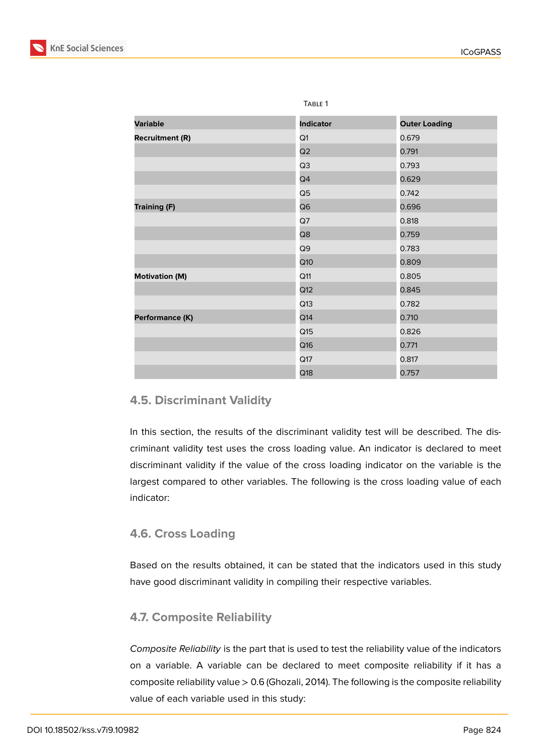

|                        | IABLE I          |                      |
|------------------------|------------------|----------------------|
| <b>Variable</b>        | <b>Indicator</b> | <b>Outer Loading</b> |
| <b>Recruitment (R)</b> | Q1               | 0.679                |
|                        | Q2               | 0.791                |
|                        | Q3               | 0.793                |
|                        | Q4               | 0.629                |
|                        | Q5               | 0.742                |
| <b>Training (F)</b>    | Q6               | 0.696                |
|                        | Q7               | 0.818                |
|                        | Q8               | 0.759                |
|                        | Q9               | 0.783                |
|                        | Q10              | 0.809                |
| <b>Motivation (M)</b>  | Q11              | 0.805                |
|                        | Q12              | 0.845                |
|                        | Q13              | 0.782                |
| Performance (K)        | Q14              | 0.710                |
|                        | Q15              | 0.826                |
|                        | Q16              | 0.771                |
|                        | Q17              | 0.817                |
|                        | Q18              | 0.757                |

 $T \cdot 2 = 1$ 

# **4.5. Discriminant Validity**

In this section, the results of the discriminant validity test will be described. The discriminant validity test uses the cross loading value. An indicator is declared to meet discriminant validity if the value of the cross loading indicator on the variable is the largest compared to other variables. The following is the cross loading value of each indicator:

## **4.6. Cross Loading**

Based on the results obtained, it can be stated that the indicators used in this study have good discriminant validity in compiling their respective variables.

## **4.7. Composite Reliability**

*Composite Reliability* is the part that is used to test the reliability value of the indicators on a variable. A variable can be declared to meet composite reliability if it has a composite reliability value > 0.6 (Ghozali, 2014). The following is the composite reliability value of each variable used in this study: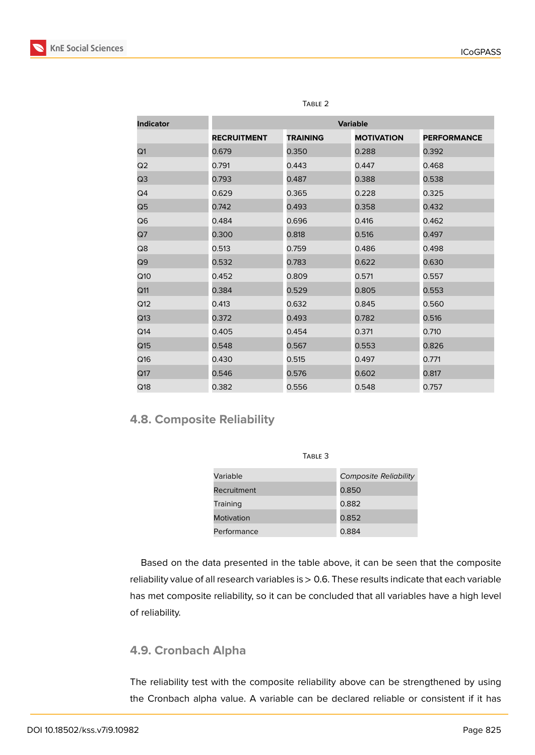

| <b>Indicator</b> | <b>Variable</b>    |                 |                   |                    |
|------------------|--------------------|-----------------|-------------------|--------------------|
|                  | <b>RECRUITMENT</b> | <b>TRAINING</b> | <b>MOTIVATION</b> | <b>PERFORMANCE</b> |
| Q1               | 0.679              | 0.350           | 0.288             | 0.392              |
| Q2               | 0.791              | 0.443           | 0.447             | 0.468              |
| Q3               | 0.793              | 0.487           | 0.388             | 0.538              |
| Q <sub>4</sub>   | 0.629              | 0.365           | 0.228             | 0.325              |
| Q5               | 0.742              | 0.493           | 0.358             | 0.432              |
| Q6               | 0.484              | 0.696           | 0.416             | 0.462              |
| Q7               | 0.300              | 0.818           | 0.516             | 0.497              |
| Q8               | 0.513              | 0.759           | 0.486             | 0.498              |
| Q9               | 0.532              | 0.783           | 0.622             | 0.630              |
| Q10              | 0.452              | 0.809           | 0.571             | 0.557              |
| Q <sub>11</sub>  | 0.384              | 0.529           | 0.805             | 0.553              |
| Q <sub>12</sub>  | 0.413              | 0.632           | 0.845             | 0.560              |
| Q13              | 0.372              | 0.493           | 0.782             | 0.516              |
| Q14              | 0.405              | 0.454           | 0.371             | 0.710              |
| Q15              | 0.548              | 0.567           | 0.553             | 0.826              |
| Q16              | 0.430              | 0.515           | 0.497             | 0.771              |
| Q17              | 0.546              | 0.576           | 0.602             | 0.817              |
| Q18              | 0.382              | 0.556           | 0.548             | 0.757              |

#### TABLE<sub>2</sub>

# **4.8. Composite Reliability**

| Variable    | <b>Composite Reliability</b> |
|-------------|------------------------------|
| Recruitment | 0.850                        |
| Training    | 0.882                        |
| Motivation  | 0.852                        |
| Performance | 0.884                        |

Table 3

Based on the data presented in the table above, it can be seen that the composite reliability value of all research variables is > 0.6. These results indicate that each variable has met composite reliability, so it can be concluded that all variables have a high level of reliability.

# **4.9. Cronbach Alpha**

The reliability test with the composite reliability above can be strengthened by using the Cronbach alpha value. A variable can be declared reliable or consistent if it has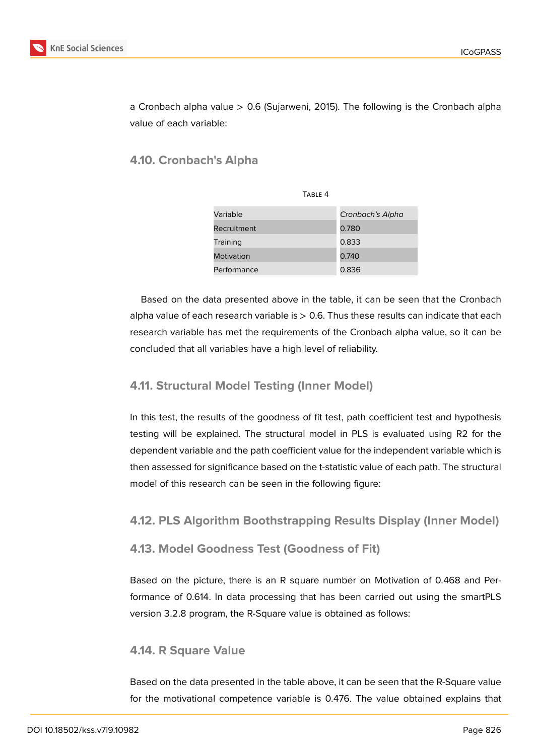

a Cronbach alpha value > 0.6 (Sujarweni, 2015). The following is the Cronbach alpha value of each variable:

# **4.10. Cronbach's Alpha**

| TABLE 4     |                  |
|-------------|------------------|
| Variable    | Cronbach's Alpha |
| Recruitment | 0.780            |
| Training    | 0.833            |
| Motivation  | 0.740            |
| Performance | 0.836            |

Based on the data presented above in the table, it can be seen that the Cronbach alpha value of each research variable is  $> 0.6$ . Thus these results can indicate that each research variable has met the requirements of the Cronbach alpha value, so it can be concluded that all variables have a high level of reliability.

## **4.11. Structural Model Testing (Inner Model)**

In this test, the results of the goodness of fit test, path coefficient test and hypothesis testing will be explained. The structural model in PLS is evaluated using R2 for the dependent variable and the path coefficient value for the independent variable which is then assessed for significance based on the t-statistic value of each path. The structural model of this research can be seen in the following figure:

### **4.12. PLS Algorithm Boothstrapping Results Display (Inner Model)**

### **4.13. Model Goodness Test (Goodness of Fit)**

Based on the picture, there is an R square number on Motivation of 0.468 and Performance of 0.614. In data processing that has been carried out using the smartPLS version 3.2.8 program, the R-Square value is obtained as follows:

### **4.14. R Square Value**

Based on the data presented in the table above, it can be seen that the R-Square value for the motivational competence variable is 0.476. The value obtained explains that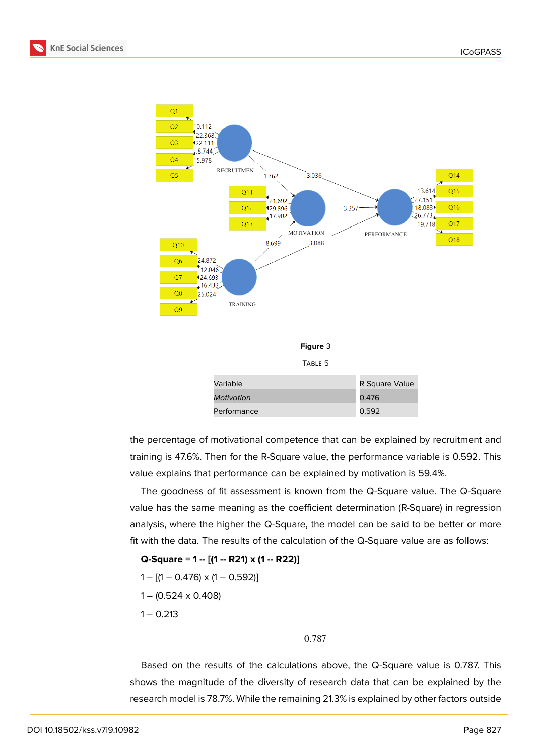



the percentage of motivational competence that can be explained by recruitment and training is 47.6%. Then for the R-Square value, the performance variable is 0.592. This value explains that performance can be explained by motivation is 59.4%.

The goodness of fit assessment is known from the Q-Square value. The Q-Square value has the same meaning as the coefficient determination (R-Square) in regression analysis, where the higher the Q-Square, the model can be said to be better or more fit with the data. The results of the calculation of the Q-Square value are as follows:

**Q-Square = 1 -- [(1 -- R21) x (1 -- R22)]**  $1 - [(1 - 0.476) \times (1 - 0.592)]$ 

 $1 - (0.524 \times 0.408)$ 

 $1 - 0.213$ 

#### 0.787

Based on the results of the calculations above, the Q-Square value is 0.787. This shows the magnitude of the diversity of research data that can be explained by the research model is 78.7%. While the remaining 21.3% is explained by other factors outside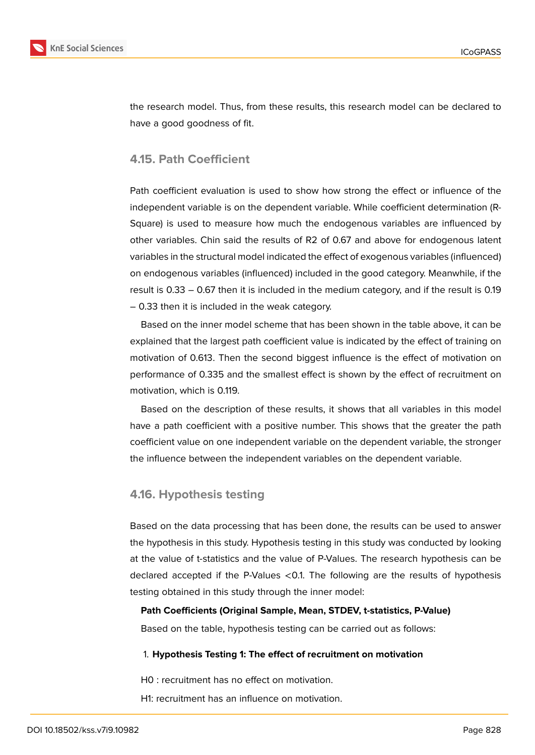

the research model. Thus, from these results, this research model can be declared to have a good goodness of fit.

### **4.15. Path Coefficient**

Path coefficient evaluation is used to show how strong the effect or influence of the independent variable is on the dependent variable. While coefficient determination (R-Square) is used to measure how much the endogenous variables are influenced by other variables. Chin said the results of R2 of 0.67 and above for endogenous latent variables in the structural model indicated the effect of exogenous variables (influenced) on endogenous variables (influenced) included in the good category. Meanwhile, if the result is 0.33 – 0.67 then it is included in the medium category, and if the result is 0.19 – 0.33 then it is included in the weak category.

Based on the inner model scheme that has been shown in the table above, it can be explained that the largest path coefficient value is indicated by the effect of training on motivation of 0.613. Then the second biggest influence is the effect of motivation on performance of 0.335 and the smallest effect is shown by the effect of recruitment on motivation, which is 0.119.

Based on the description of these results, it shows that all variables in this model have a path coefficient with a positive number. This shows that the greater the path coefficient value on one independent variable on the dependent variable, the stronger the influence between the independent variables on the dependent variable.

#### **4.16. Hypothesis testing**

Based on the data processing that has been done, the results can be used to answer the hypothesis in this study. Hypothesis testing in this study was conducted by looking at the value of t-statistics and the value of P-Values. The research hypothesis can be declared accepted if the P-Values <0.1. The following are the results of hypothesis testing obtained in this study through the inner model:

**Path Coefficients (Original Sample, Mean, STDEV, t-statistics, P-Value)**

Based on the table, hypothesis testing can be carried out as follows:

#### 1. **Hypothesis Testing 1: The effect of recruitment on motivation**

H0 : recruitment has no effect on motivation.

H1: recruitment has an influence on motivation.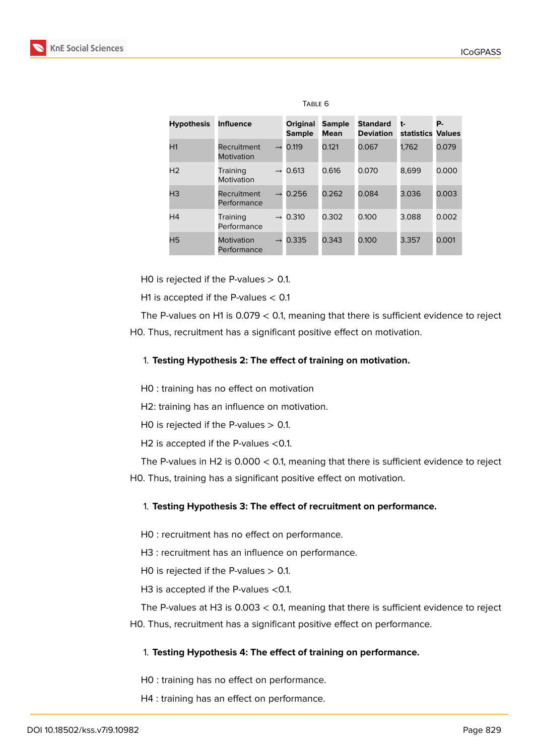

| TABLE 6           |                            |               |                                  |                              |                                     |                         |       |
|-------------------|----------------------------|---------------|----------------------------------|------------------------------|-------------------------------------|-------------------------|-------|
| <b>Hypothesis</b> | <b>Influence</b>           |               | <b>Original</b><br><b>Sample</b> | <b>Sample</b><br><b>Mean</b> | <b>Standard</b><br><b>Deviation</b> | t-<br>statistics Values | Р.    |
| H1                | Recruitment<br>Motivation  | $\rightarrow$ | 0.119                            | 0.121                        | 0.067                               | 1,762                   | 0.079 |
| H <sub>2</sub>    | Training<br>Motivation     | $\rightarrow$ | 0.613                            | 0.616                        | 0.070                               | 8,699                   | 0.000 |
| H <sub>3</sub>    | Recruitment<br>Performance | $\rightarrow$ | 0.256                            | 0.262                        | 0.084                               | 3.036                   | 0.003 |
| H <sub>4</sub>    | Training<br>Performance    | $\rightarrow$ | 0.310                            | 0.302                        | 0.100                               | 3.088                   | 0.002 |
| H <sub>5</sub>    | Motivation<br>Performance  |               | 0.335                            | 0.343                        | 0.100                               | 3.357                   | 0.001 |

HO is rejected if the P-values  $> 0.1$ .

H1 is accepted if the P-values  $< 0.1$ 

The P-values on H1 is  $0.079 < 0.1$ , meaning that there is sufficient evidence to reject H0. Thus, recruitment has a significant positive effect on motivation.

#### 1. **Testing Hypothesis 2: The effect of training on motivation.**

H0 : training has no effect on motivation

H2: training has an influence on motivation.

HO is rejected if the P-values  $> 0.1$ .

H2 is accepted if the P-values <0.1.

The P-values in H2 is  $0.000 < 0.1$ , meaning that there is sufficient evidence to reject H0. Thus, training has a significant positive effect on motivation.

#### 1. **Testing Hypothesis 3: The effect of recruitment on performance.**

H0 : recruitment has no effect on performance.

H3 : recruitment has an influence on performance.

HO is rejected if the P-values  $> 0.1$ .

H3 is accepted if the P-values <0.1.

The P-values at H3 is 0.003 < 0.1, meaning that there is sufficient evidence to reject H0. Thus, recruitment has a significant positive effect on performance.

#### 1. **Testing Hypothesis 4: The effect of training on performance.**

H0 : training has no effect on performance.

H4 : training has an effect on performance.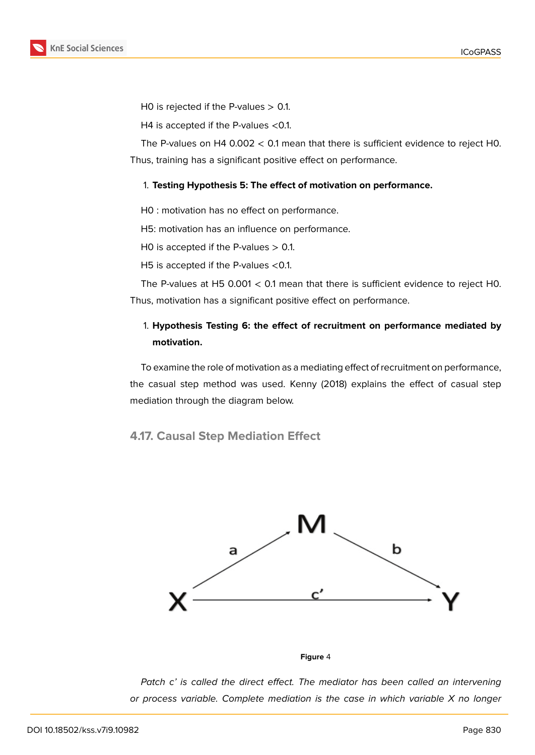

H0 is rejected if the P-values  $> 0.1$ .

H4 is accepted if the P-values <0.1.

The P-values on H4 0.002 < 0.1 mean that there is sufficient evidence to reject H0. Thus, training has a significant positive effect on performance.

#### 1. **Testing Hypothesis 5: The effect of motivation on performance.**

H0 : motivation has no effect on performance.

H5: motivation has an influence on performance.

HO is accepted if the P-values  $> 0.1$ .

H5 is accepted if the P-values <0.1.

The P-values at H5 0.001  $<$  0.1 mean that there is sufficient evidence to reject H0. Thus, motivation has a significant positive effect on performance.

# 1. **Hypothesis Testing 6: the effect of recruitment on performance mediated by motivation.**

To examine the role of motivation as a mediating effect of recruitment on performance, the casual step method was used. Kenny (2018) explains the effect of casual step mediation through the diagram below.

**4.17. Causal Step Mediation Effect**



**Figure** 4

*Patch c' is called the direct effect. The mediator has been called an intervening or process variable. Complete mediation is the case in which variable X no longer*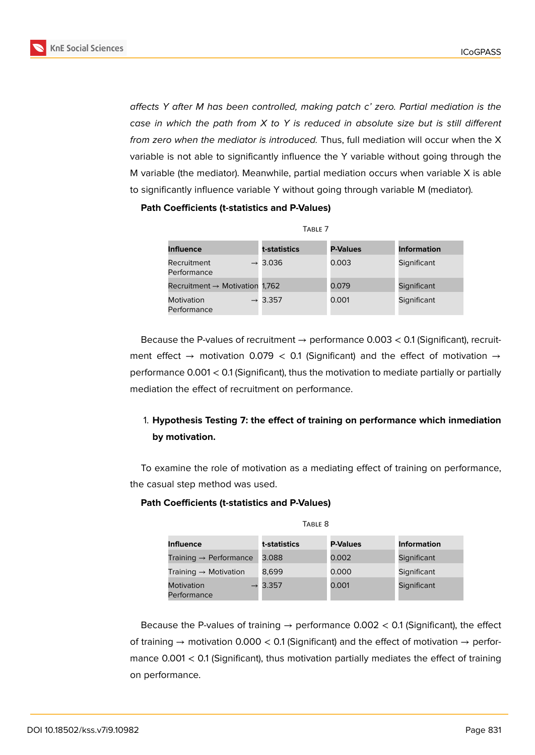

*affects Y after M has been controlled, making patch c' zero. Partial mediation is the case in which the path from X to Y is reduced in absolute size but is still different from zero when the mediator is introduced.* Thus, full mediation will occur when the X variable is not able to significantly influence the Y variable without going through the M variable (the mediator). Meanwhile, partial mediation occurs when variable X is able to significantly influence variable Y without going through variable M (mediator).

#### **Path Coefficients (t-statistics and P-Values)**

| $I$ ADLL $I$                               |                     |                 |                    |  |  |
|--------------------------------------------|---------------------|-----------------|--------------------|--|--|
| <b>Influence</b>                           | t-statistics        | <b>P-Values</b> | <b>Information</b> |  |  |
| Recruitment<br>Performance                 | $\rightarrow$ 3.036 | 0.003           | Significant        |  |  |
| Recruitment $\rightarrow$ Motivation 1,762 |                     | 0.079           | Significant        |  |  |
| Motivation<br>Performance                  | $\rightarrow$ 3.357 | 0.001           | Significant        |  |  |

Table 7

Because the P-values of recruitment  $\rightarrow$  performance 0.003  $<$  0.1 (Significant), recruitment effect  $\rightarrow$  motivation 0.079 < 0.1 (Significant) and the effect of motivation  $\rightarrow$ performance 0.001 < 0.1 (Significant), thus the motivation to mediate partially or partially mediation the effect of recruitment on performance.

# 1. **Hypothesis Testing 7: the effect of training on performance which inmediation by motivation.**

To examine the role of motivation as a mediating effect of training on performance, the casual step method was used.

#### **Path Coefficients (t-statistics and P-Values)**

| IADLL U                            |                     |                 |                    |  |  |
|------------------------------------|---------------------|-----------------|--------------------|--|--|
| <b>Influence</b>                   | t-statistics        | <b>P-Values</b> | <b>Information</b> |  |  |
| Training $\rightarrow$ Performance | 3.088               | 0.002           | Significant        |  |  |
| Training $\rightarrow$ Motivation  | 8.699               | 0.000           | Significant        |  |  |
| Motivation<br>Performance          | $\rightarrow$ 3.357 | 0.001           | Significant        |  |  |

Table 8

Because the P-values of training  $\rightarrow$  performance 0.002 < 0.1 (Significant), the effect of training  $\rightarrow$  motivation 0.000 < 0.1 (Significant) and the effect of motivation  $\rightarrow$  performance 0.001 < 0.1 (Significant), thus motivation partially mediates the effect of training on performance.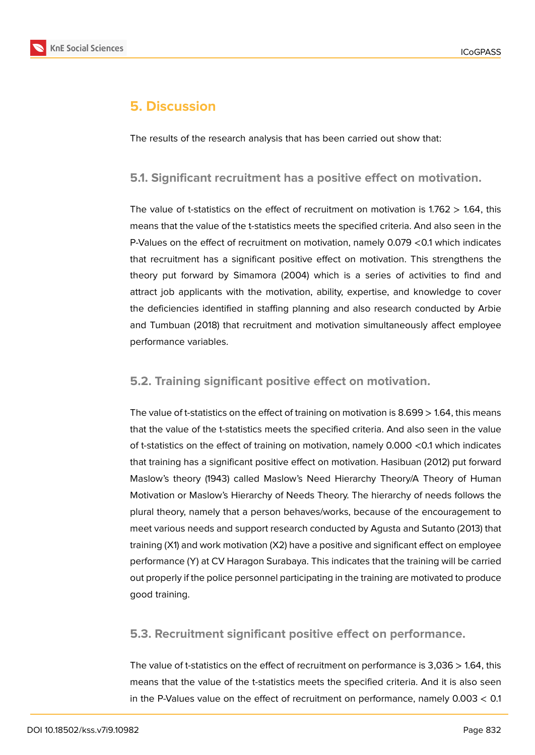

# **5. Discussion**

The results of the research analysis that has been carried out show that:

### **5.1. Significant recruitment has a positive effect on motivation.**

The value of t-statistics on the effect of recruitment on motivation is  $1.762 > 1.64$ , this means that the value of the t-statistics meets the specified criteria. And also seen in the P-Values on the effect of recruitment on motivation, namely 0.079 <0.1 which indicates that recruitment has a significant positive effect on motivation. This strengthens the theory put forward by Simamora (2004) which is a series of activities to find and attract job applicants with the motivation, ability, expertise, and knowledge to cover the deficiencies identified in staffing planning and also research conducted by Arbie and Tumbuan (2018) that recruitment and motivation simultaneously affect employee performance variables.

### **5.2. Training significant positive effect on motivation.**

The value of t-statistics on the effect of training on motivation is 8.699 > 1.64, this means that the value of the t-statistics meets the specified criteria. And also seen in the value of t-statistics on the effect of training on motivation, namely 0.000 <0.1 which indicates that training has a significant positive effect on motivation. Hasibuan (2012) put forward Maslow's theory (1943) called Maslow's Need Hierarchy Theory/A Theory of Human Motivation or Maslow's Hierarchy of Needs Theory. The hierarchy of needs follows the plural theory, namely that a person behaves/works, because of the encouragement to meet various needs and support research conducted by Agusta and Sutanto (2013) that training (X1) and work motivation (X2) have a positive and significant effect on employee performance (Y) at CV Haragon Surabaya. This indicates that the training will be carried out properly if the police personnel participating in the training are motivated to produce good training.

**5.3. Recruitment significant positive effect on performance.**

The value of t-statistics on the effect of recruitment on performance is 3,036 > 1.64, this means that the value of the t-statistics meets the specified criteria. And it is also seen in the P-Values value on the effect of recruitment on performance, namely 0.003 < 0.1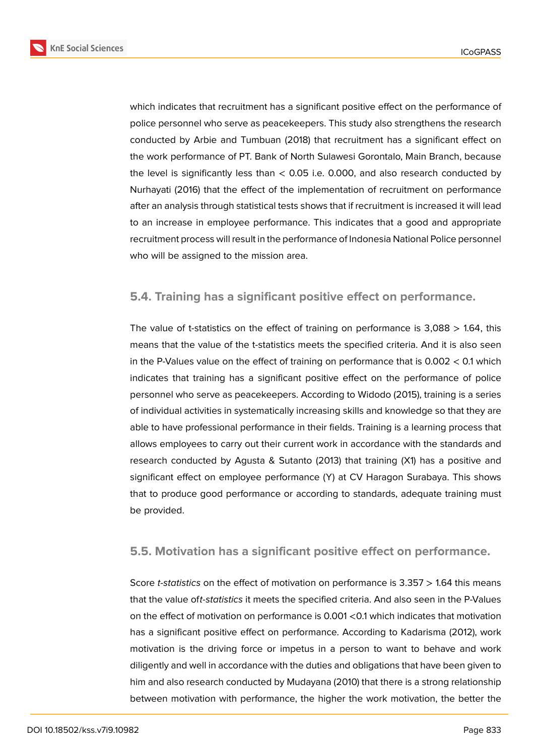

which indicates that recruitment has a significant positive effect on the performance of police personnel who serve as peacekeepers. This study also strengthens the research conducted by Arbie and Tumbuan (2018) that recruitment has a significant effect on the work performance of PT. Bank of North Sulawesi Gorontalo, Main Branch, because the level is significantly less than < 0.05 i.e. 0.000, and also research conducted by Nurhayati (2016) that the effect of the implementation of recruitment on performance after an analysis through statistical tests shows that if recruitment is increased it will lead to an increase in employee performance. This indicates that a good and appropriate recruitment process will result in the performance of Indonesia National Police personnel who will be assigned to the mission area.

### **5.4. Training has a significant positive effect on performance.**

The value of t-statistics on the effect of training on performance is  $3,088 > 1.64$ , this means that the value of the t-statistics meets the specified criteria. And it is also seen in the P-Values value on the effect of training on performance that is 0.002 < 0.1 which indicates that training has a significant positive effect on the performance of police personnel who serve as peacekeepers. According to Widodo (2015), training is a series of individual activities in systematically increasing skills and knowledge so that they are able to have professional performance in their fields. Training is a learning process that allows employees to carry out their current work in accordance with the standards and research conducted by Agusta & Sutanto (2013) that training (X1) has a positive and significant effect on employee performance (Y) at CV Haragon Surabaya. This shows that to produce good performance or according to standards, adequate training must be provided.

### **5.5. Motivation has a significant positive effect on performance.**

Score *t-statistics* on the effect of motivation on performance is 3.357 > 1.64 this means that the value of*t-statistics* it meets the specified criteria. And also seen in the P-Values on the effect of motivation on performance is 0.001 <0.1 which indicates that motivation has a significant positive effect on performance. According to Kadarisma (2012), work motivation is the driving force or impetus in a person to want to behave and work diligently and well in accordance with the duties and obligations that have been given to him and also research conducted by Mudayana (2010) that there is a strong relationship between motivation with performance, the higher the work motivation, the better the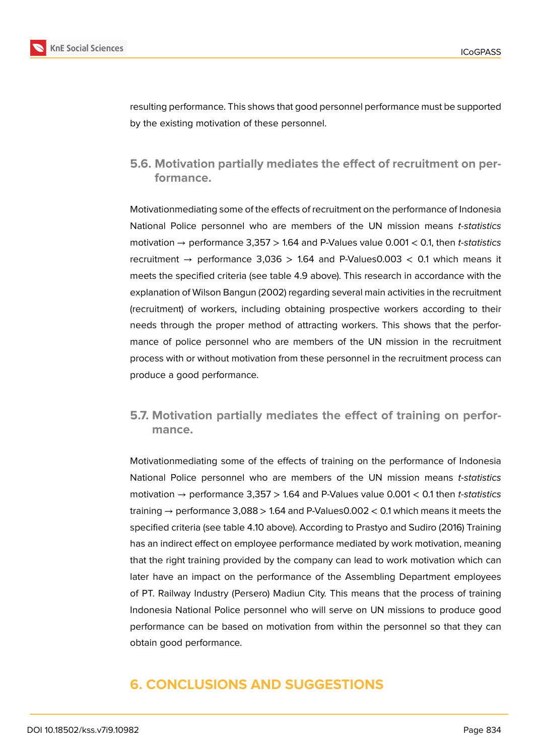

resulting performance. This shows that good personnel performance must be supported by the existing motivation of these personnel.

# **5.6. Motivation partially mediates the effect of recruitment on performance.**

Motivationmediating some of the effects of recruitment on the performance of Indonesia National Police personnel who are members of the UN mission means *t-statistics* motivation → performance 3,357 > 1.64 and P-Values value 0.001 < 0.1, then *t-statistics* recruitment  $\rightarrow$  performance 3,036  $>$  1.64 and P-Values0.003  $<$  0.1 which means it meets the specified criteria (see table 4.9 above). This research in accordance with the explanation of Wilson Bangun (2002) regarding several main activities in the recruitment (recruitment) of workers, including obtaining prospective workers according to their needs through the proper method of attracting workers. This shows that the performance of police personnel who are members of the UN mission in the recruitment process with or without motivation from these personnel in the recruitment process can produce a good performance.

# **5.7. Motivation partially mediates the effect of training on performance.**

Motivationmediating some of the effects of training on the performance of Indonesia National Police personnel who are members of the UN mission means *t-statistics* motivation → performance 3,357 > 1.64 and P-Values value 0.001 < 0.1 then *t-statistics* training  $\rightarrow$  performance 3,088  $>$  1.64 and P-Values0.002  $<$  0.1 which means it meets the specified criteria (see table 4.10 above). According to Prastyo and Sudiro (2016) Training has an indirect effect on employee performance mediated by work motivation, meaning that the right training provided by the company can lead to work motivation which can later have an impact on the performance of the Assembling Department employees of PT. Railway Industry (Persero) Madiun City. This means that the process of training Indonesia National Police personnel who will serve on UN missions to produce good performance can be based on motivation from within the personnel so that they can obtain good performance.

# **6. CONCLUSIONS AND SUGGESTIONS**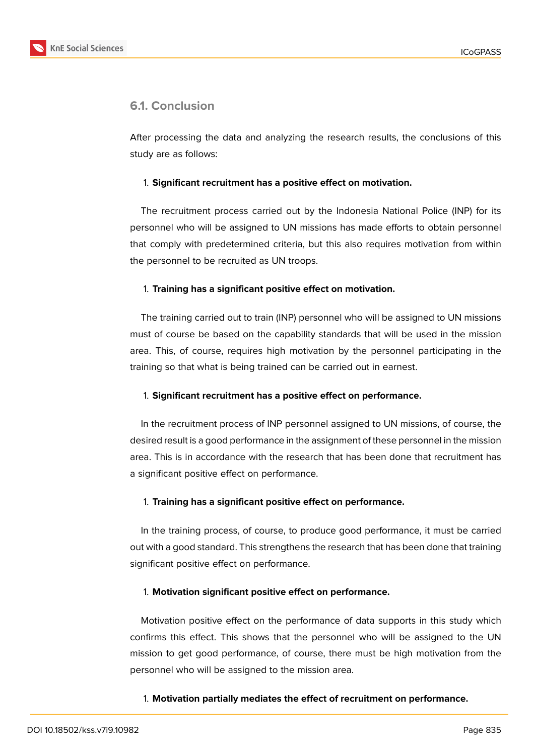

# **6.1. Conclusion**

After processing the data and analyzing the research results, the conclusions of this study are as follows:

#### 1. **Significant recruitment has a positive effect on motivation.**

The recruitment process carried out by the Indonesia National Police (INP) for its personnel who will be assigned to UN missions has made efforts to obtain personnel that comply with predetermined criteria, but this also requires motivation from within the personnel to be recruited as UN troops.

#### 1. **Training has a significant positive effect on motivation.**

The training carried out to train (INP) personnel who will be assigned to UN missions must of course be based on the capability standards that will be used in the mission area. This, of course, requires high motivation by the personnel participating in the training so that what is being trained can be carried out in earnest.

#### 1. **Significant recruitment has a positive effect on performance.**

In the recruitment process of INP personnel assigned to UN missions, of course, the desired result is a good performance in the assignment of these personnel in the mission area. This is in accordance with the research that has been done that recruitment has a significant positive effect on performance.

#### 1. **Training has a significant positive effect on performance.**

In the training process, of course, to produce good performance, it must be carried out with a good standard. This strengthens the research that has been done that training significant positive effect on performance.

#### 1. **Motivation significant positive effect on performance.**

Motivation positive effect on the performance of data supports in this study which confirms this effect. This shows that the personnel who will be assigned to the UN mission to get good performance, of course, there must be high motivation from the personnel who will be assigned to the mission area.

#### 1. **Motivation partially mediates the effect of recruitment on performance.**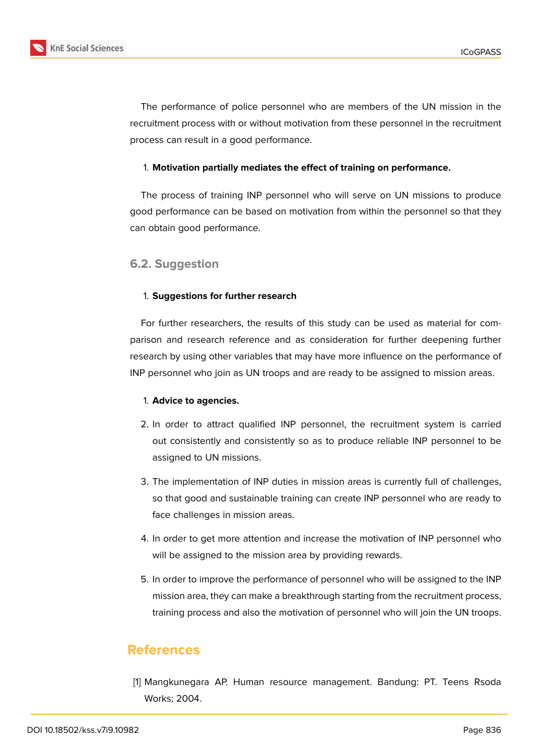



The performance of police personnel who are members of the UN mission in the recruitment process with or without motivation from these personnel in the recruitment process can result in a good performance.

#### 1. **Motivation partially mediates the effect of training on performance.**

The process of training INP personnel who will serve on UN missions to produce good performance can be based on motivation from within the personnel so that they can obtain good performance.

### **6.2. Suggestion**

#### 1. **Suggestions for further research**

For further researchers, the results of this study can be used as material for comparison and research reference and as consideration for further deepening further research by using other variables that may have more influence on the performance of INP personnel who join as UN troops and are ready to be assigned to mission areas.

#### 1. **Advice to agencies.**

- 2. In order to attract qualified INP personnel, the recruitment system is carried out consistently and consistently so as to produce reliable INP personnel to be assigned to UN missions.
- 3. The implementation of INP duties in mission areas is currently full of challenges, so that good and sustainable training can create INP personnel who are ready to face challenges in mission areas.
- 4. In order to get more attention and increase the motivation of INP personnel who will be assigned to the mission area by providing rewards.
- 5. In order to improve the performance of personnel who will be assigned to the INP mission area, they can make a breakthrough starting from the recruitment process, training process and also the motivation of personnel who will join the UN troops.

## **References**

[1] Mangkunegara AP. Human resource management. Bandung: PT. Teens Rsoda Works; 2004.